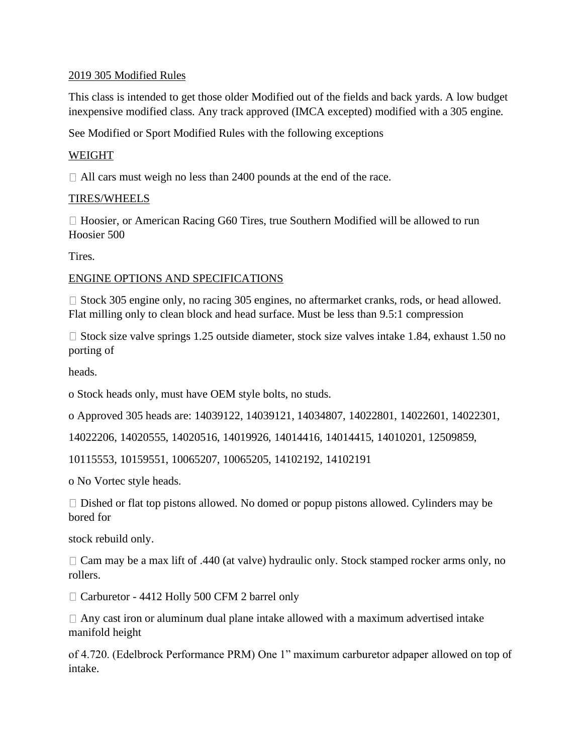# 2019 305 Modified Rules

This class is intended to get those older Modified out of the fields and back yards. A low budget inexpensive modified class. Any track approved (IMCA excepted) modified with a 305 engine.

See Modified or Sport Modified Rules with the following exceptions

# WEIGHT

□ All cars must weigh no less than 2400 pounds at the end of the race.

# TIRES/WHEELS

 $\Box$  Hoosier, or American Racing G60 Tires, true Southern Modified will be allowed to run Hoosier 500

Tires.

### ENGINE OPTIONS AND SPECIFICATIONS

 $\Box$  Stock 305 engine only, no racing 305 engines, no aftermarket cranks, rods, or head allowed. Flat milling only to clean block and head surface. Must be less than 9.5:1 compression

 $\Box$  Stock size valve springs 1.25 outside diameter, stock size valves intake 1.84, exhaust 1.50 no porting of

heads.

o Stock heads only, must have OEM style bolts, no studs.

o Approved 305 heads are: 14039122, 14039121, 14034807, 14022801, 14022601, 14022301,

14022206, 14020555, 14020516, 14019926, 14014416, 14014415, 14010201, 12509859,

10115553, 10159551, 10065207, 10065205, 14102192, 14102191

o No Vortec style heads.

 $\Box$  Dished or flat top pistons allowed. No domed or popup pistons allowed. Cylinders may be bored for

stock rebuild only.

 $\Box$  Cam may be a max lift of .440 (at valve) hydraulic only. Stock stamped rocker arms only, no rollers.

□ Carburetor - 4412 Holly 500 CFM 2 barrel only

 $\Box$  Any cast iron or aluminum dual plane intake allowed with a maximum advertised intake manifold height

of 4.720. (Edelbrock Performance PRM) One 1" maximum carburetor adpaper allowed on top of intake.